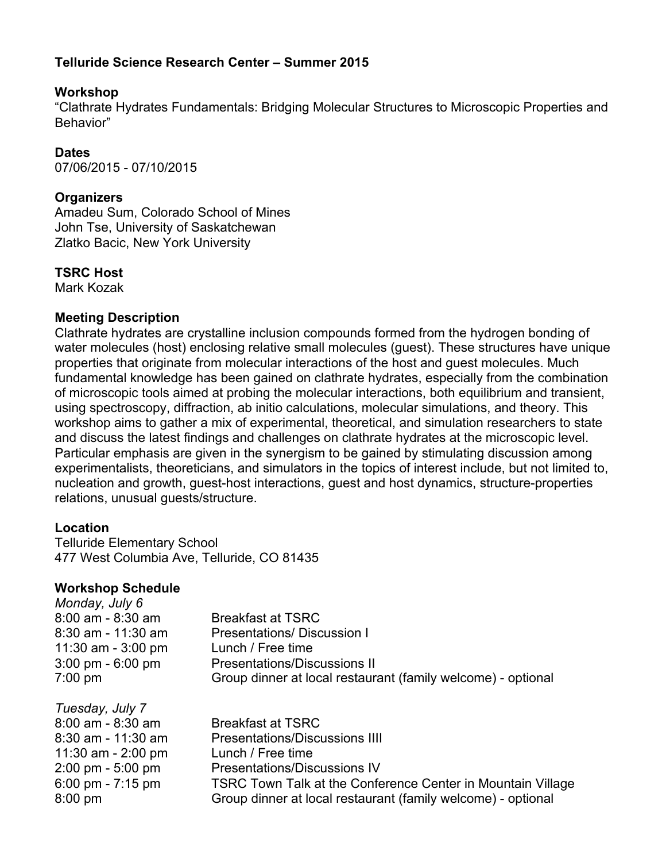## **Telluride Science Research Center – Summer 2015**

### **Workshop**

"Clathrate Hydrates Fundamentals: Bridging Molecular Structures to Microscopic Properties and Behavior"

## **Dates**

07/06/2015 - 07/10/2015

## **Organizers**

Amadeu Sum, Colorado School of Mines John Tse, University of Saskatchewan Zlatko Bacic, New York University

## **TSRC Host**

Mark Kozak

#### **Meeting Description**

Clathrate hydrates are crystalline inclusion compounds formed from the hydrogen bonding of water molecules (host) enclosing relative small molecules (guest). These structures have unique properties that originate from molecular interactions of the host and guest molecules. Much fundamental knowledge has been gained on clathrate hydrates, especially from the combination of microscopic tools aimed at probing the molecular interactions, both equilibrium and transient, using spectroscopy, diffraction, ab initio calculations, molecular simulations, and theory. This workshop aims to gather a mix of experimental, theoretical, and simulation researchers to state and discuss the latest findings and challenges on clathrate hydrates at the microscopic level. Particular emphasis are given in the synergism to be gained by stimulating discussion among experimentalists, theoreticians, and simulators in the topics of interest include, but not limited to, nucleation and growth, guest-host interactions, guest and host dynamics, structure-properties relations, unusual guests/structure.

### **Location**

Telluride Elementary School 477 West Columbia Ave, Telluride, CO 81435

### **Workshop Schedule**

| Monday, July 6     |                                                              |
|--------------------|--------------------------------------------------------------|
| 8:00 am - 8:30 am  | <b>Breakfast at TSRC</b>                                     |
| 8:30 am - 11:30 am | <b>Presentations/Discussion I</b>                            |
| 11:30 am - 3:00 pm | Lunch / Free time                                            |
| 3:00 pm - 6:00 pm  | <b>Presentations/Discussions II</b>                          |
| 7:00 pm            | Group dinner at local restaurant (family welcome) - optional |
| Tuesday, July 7    |                                                              |
| 8:00 am - 8:30 am  | <b>Breakfast at TSRC</b>                                     |
| 8:30 am - 11:30 am | <b>Presentations/Discussions IIII</b>                        |
| 11:30 am - 2:00 pm | Lunch / Free time                                            |
| 2:00 pm - 5:00 pm  | <b>Presentations/Discussions IV</b>                          |
| 6:00 pm - 7:15 pm  | TSRC Town Talk at the Conference Center in Mountain Village  |
| 8:00 pm            | Group dinner at local restaurant (family welcome) - optional |
|                    |                                                              |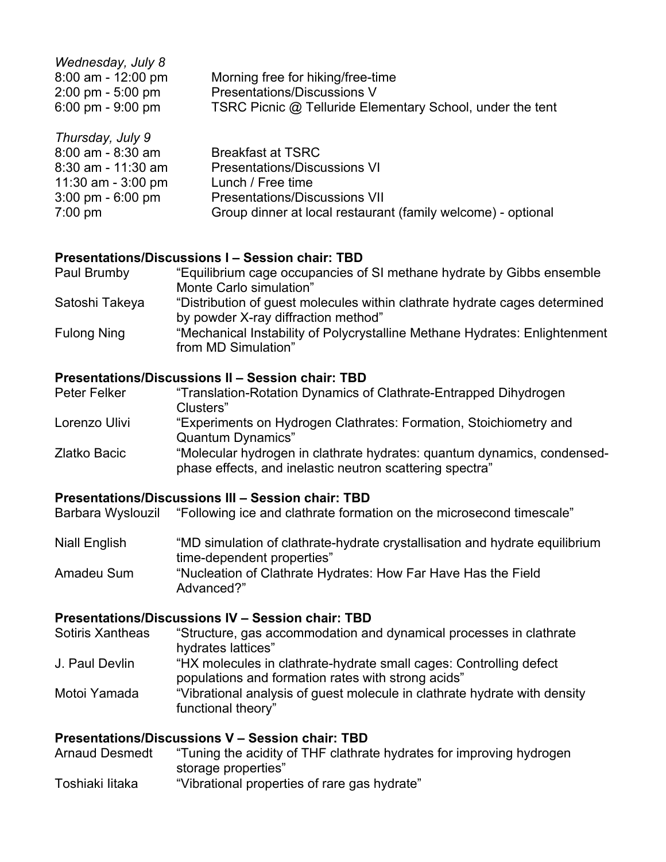| Morning free for hiking/free-time                         |
|-----------------------------------------------------------|
| Presentations/Discussions V                               |
| TSRC Picnic @ Telluride Elementary School, under the tent |
|                                                           |

| Thursday, July 9                    |                                                              |
|-------------------------------------|--------------------------------------------------------------|
| $8:00$ am - $8:30$ am               | <b>Breakfast at TSRC</b>                                     |
| $8:30$ am - 11:30 am                | <b>Presentations/Discussions VI</b>                          |
| 11:30 am - 3:00 pm                  | Lunch / Free time                                            |
| $3:00 \text{ pm} - 6:00 \text{ pm}$ | <b>Presentations/Discussions VII</b>                         |
| $7:00$ pm                           | Group dinner at local restaurant (family welcome) - optional |

#### **Presentations/Discussions I – Session chair: TBD**

| Paul Brumby        | "Equilibrium cage occupancies of SI methane hydrate by Gibbs ensemble                                             |
|--------------------|-------------------------------------------------------------------------------------------------------------------|
|                    | Monte Carlo simulation"                                                                                           |
| Satoshi Takeya     | "Distribution of guest molecules within clathrate hydrate cages determined<br>by powder X-ray diffraction method" |
| <b>Fulong Ning</b> | "Mechanical Instability of Polycrystalline Methane Hydrates: Enlightenment<br>from MD Simulation"                 |

## **Presentations/Discussions II – Session chair: TBD**

| Peter Felker  | "Translation-Rotation Dynamics of Clathrate-Entrapped Dihydrogen                                                                    |
|---------------|-------------------------------------------------------------------------------------------------------------------------------------|
|               | Clusters"                                                                                                                           |
| Lorenzo Ulivi | "Experiments on Hydrogen Clathrates: Formation, Stoichiometry and                                                                   |
|               | <b>Quantum Dynamics"</b>                                                                                                            |
| Zlatko Bacic  | "Molecular hydrogen in clathrate hydrates: quantum dynamics, condensed-<br>phase effects, and inelastic neutron scattering spectra" |
|               |                                                                                                                                     |

#### **Presentations/Discussions III – Session chair: TBD**

Barbara Wyslouzil "Following ice and clathrate formation on the microsecond timescale"

Niall English "MD simulation of clathrate-hydrate crystallisation and hydrate equilibrium time-dependent properties" Amadeu Sum "Nucleation of Clathrate Hydrates: How Far Have Has the Field Advanced?"

## **Presentations/Discussions IV – Session chair: TBD**

| Sotiris Xantheas | "Structure, gas accommodation and dynamical processes in clathrate<br>hydrates lattices"                                 |
|------------------|--------------------------------------------------------------------------------------------------------------------------|
| J. Paul Devlin   | "HX molecules in clathrate-hydrate small cages: Controlling defect<br>populations and formation rates with strong acids" |
| Motoi Yamada     | "Vibrational analysis of guest molecule in clathrate hydrate with density<br>functional theory"                          |

## **Presentations/Discussions V – Session chair: TBD**

| <b>Arnaud Desmedt</b> | "Tuning the acidity of THF clathrate hydrates for improving hydrogen |
|-----------------------|----------------------------------------------------------------------|
|                       | storage properties"                                                  |
| Toshiaki litaka       | "Vibrational properties of rare gas hydrate"                         |